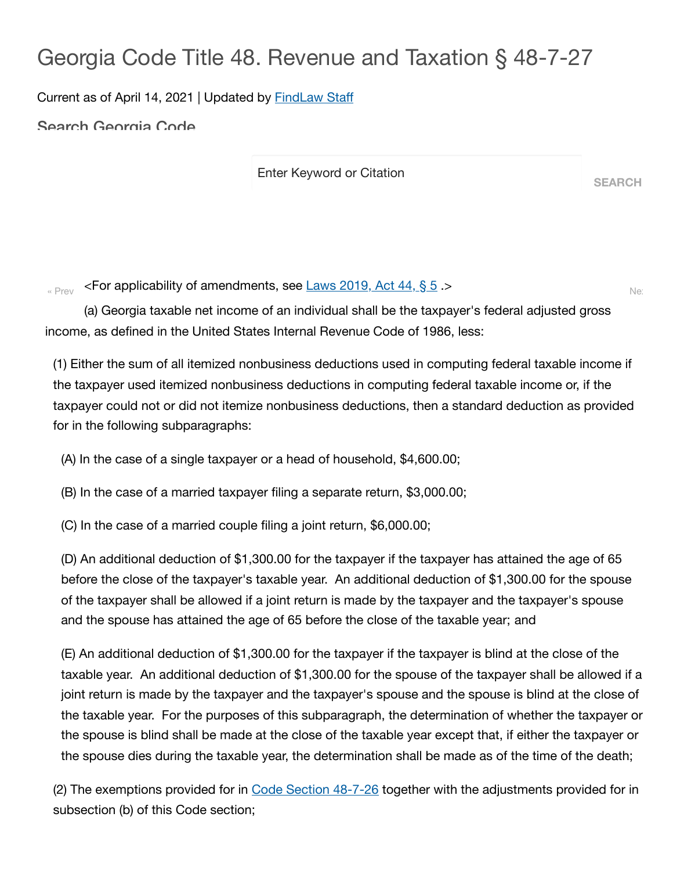## Georgia Code Title 48. Revenue and Taxation § 48-7-27

Current as of April 14, 2021 | Updated by [FindLaw](https://www.findlaw.com/company/our-team.html) Staff

Search Georgia Code

Enter Keyword or Citation

**SEARCH**

 $\epsilon_{\text{New}}$  <For applicability of amendments, see  $\frac{\text{Laws 2019, Act 44, § 5 }}{0.012}$  $\frac{\text{Laws 2019, Act 44, § 5 }}{0.012}$  $\frac{\text{Laws 2019, Act 44, § 5 }}{0.012}$  .>

(a) Georgia taxable net income of an individual shall be the taxpayer's federal adjusted gross income, as defined in the United States Internal Revenue Code of 1986, less:

(1) Either the sum of all itemized nonbusiness deductions used in computing federal taxable income if the taxpayer used itemized nonbusiness deductions in computing federal taxable income or, if the taxpayer could not or did not itemize nonbusiness deductions, then a standard deduction as provided for in the following subparagraphs:

(A) In the case of a single taxpayer or a head of household, \$4,600.00;

(B) In the case of a married taxpayer filing a separate return, \$3,000.00;

(C) In the case of a married couple filing a joint return, \$6,000.00;

(D) An additional deduction of \$1,300.00 for the taxpayer if the taxpayer has attained the age of 65 before the close of the taxpayer's taxable year. An additional deduction of \$1,300.00 for the spouse of the taxpayer shall be allowed if a joint return is made by the taxpayer and the taxpayer's spouse and the spouse has attained the age of 65 before the close of the taxable year; and

(E) An additional deduction of \$1,300.00 for the taxpayer if the taxpayer is blind at the close of the taxable year. An additional deduction of \$1,300.00 for the spouse of the taxpayer shall be allowed if a joint return is made by the taxpayer and the taxpayer's spouse and the spouse is blind at the close of the taxable year. For the purposes of this subparagraph, the determination of whether the taxpayer or the spouse is blind shall be made at the close of the taxable year except that, if either the taxpayer or the spouse dies during the taxable year, the determination shall be made as of the time of the death;

(2) The exemptions provided for in Code Section [48-7-26](https://1.next.westlaw.com/Link/Document/FullText?findType=L&originatingContext=document&transitionType=DocumentItem&pubNum=1000468&refType=LQ&originatingDoc=Id27996e03ea211eb83edd56410bb9a31&cite=GAST48-7-26) together with the adjustments provided for in subsection (b) of this Code section;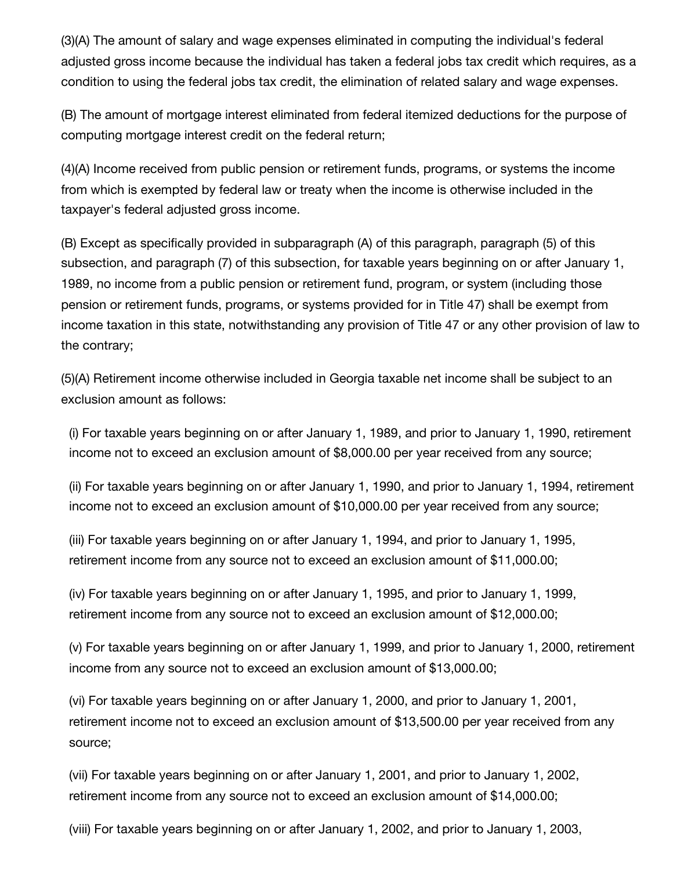(3)(A) The amount of salary and wage expenses eliminated in computing the individual's federal adjusted gross income because the individual has taken a federal jobs tax credit which requires, as a condition to using the federal jobs tax credit, the elimination of related salary and wage expenses.

(B) The amount of mortgage interest eliminated from federal itemized deductions for the purpose of computing mortgage interest credit on the federal return;

(4)(A) Income received from public pension or retirement funds, programs, or systems the income from which is exempted by federal law or treaty when the income is otherwise included in the taxpayer's federal adjusted gross income.

(B) Except as specifically provided in subparagraph (A) of this paragraph, paragraph (5) of this subsection, and paragraph (7) of this subsection, for taxable years beginning on or after January 1, 1989, no income from a public pension or retirement fund, program, or system (including those pension or retirement funds, programs, or systems provided for in Title 47) shall be exempt from income taxation in this state, notwithstanding any provision of Title 47 or any other provision of law to the contrary;

(5)(A) Retirement income otherwise included in Georgia taxable net income shall be subject to an exclusion amount as follows:

(i) For taxable years beginning on or after January 1, 1989, and prior to January 1, 1990, retirement income not to exceed an exclusion amount of \$8,000.00 per year received from any source;

(ii) For taxable years beginning on or after January 1, 1990, and prior to January 1, 1994, retirement income not to exceed an exclusion amount of \$10,000.00 per year received from any source;

(iii) For taxable years beginning on or after January 1, 1994, and prior to January 1, 1995, retirement income from any source not to exceed an exclusion amount of \$11,000.00;

(iv) For taxable years beginning on or after January 1, 1995, and prior to January 1, 1999, retirement income from any source not to exceed an exclusion amount of \$12,000.00;

(v) For taxable years beginning on or after January 1, 1999, and prior to January 1, 2000, retirement income from any source not to exceed an exclusion amount of \$13,000.00;

(vi) For taxable years beginning on or after January 1, 2000, and prior to January 1, 2001, retirement income not to exceed an exclusion amount of \$13,500.00 per year received from any source;

(vii) For taxable years beginning on or after January 1, 2001, and prior to January 1, 2002, retirement income from any source not to exceed an exclusion amount of \$14,000.00;

(viii) For taxable years beginning on or after January 1, 2002, and prior to January 1, 2003,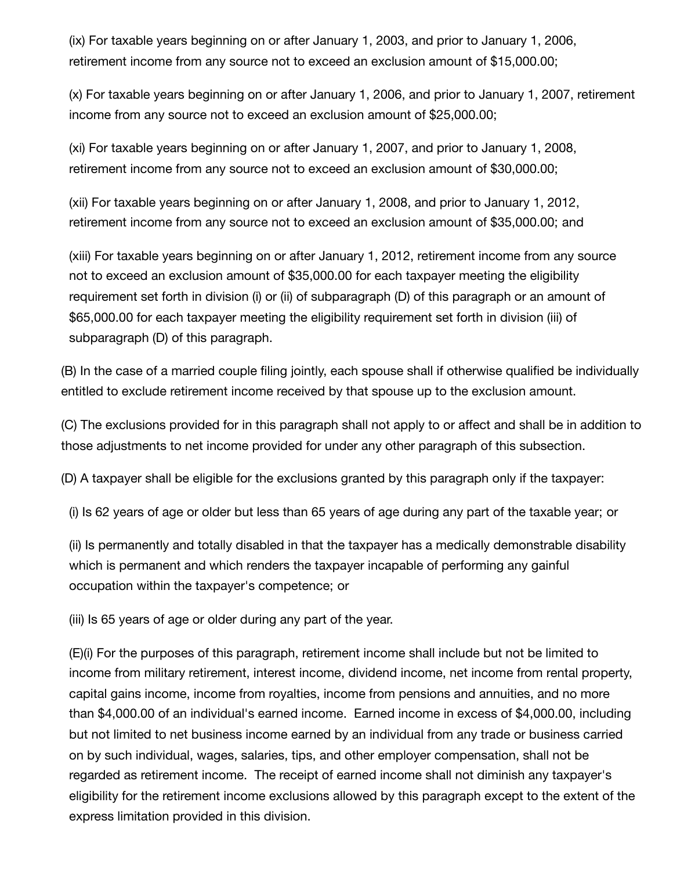(ix) For taxable years beginning on or after January 1, 2003, and prior to January 1, 2006, retirement income from any source not to exceed an exclusion amount of \$15,000.00;

(x) For taxable years beginning on or after January 1, 2006, and prior to January 1, 2007, retirement income from any source not to exceed an exclusion amount of \$25,000.00;

(xi) For taxable years beginning on or after January 1, 2007, and prior to January 1, 2008, retirement income from any source not to exceed an exclusion amount of \$30,000.00;

(xii) For taxable years beginning on or after January 1, 2008, and prior to January 1, 2012, retirement income from any source not to exceed an exclusion amount of \$35,000.00; and

(xiii) For taxable years beginning on or after January 1, 2012, retirement income from any source not to exceed an exclusion amount of \$35,000.00 for each taxpayer meeting the eligibility requirement set forth in division (i) or (ii) of subparagraph (D) of this paragraph or an amount of \$65,000.00 for each taxpayer meeting the eligibility requirement set forth in division (iii) of subparagraph (D) of this paragraph.

(B) In the case of a married couple filing jointly, each spouse shall if otherwise qualified be individually entitled to exclude retirement income received by that spouse up to the exclusion amount.

(C) The exclusions provided for in this paragraph shall not apply to or affect and shall be in addition to those adjustments to net income provided for under any other paragraph of this subsection.

(D) A taxpayer shall be eligible for the exclusions granted by this paragraph only if the taxpayer:

(i) Is 62 years of age or older but less than 65 years of age during any part of the taxable year; or

(ii) Is permanently and totally disabled in that the taxpayer has a medically demonstrable disability which is permanent and which renders the taxpayer incapable of performing any gainful occupation within the taxpayer's competence; or

(iii) Is 65 years of age or older during any part of the year.

(E)(i) For the purposes of this paragraph, retirement income shall include but not be limited to income from military retirement, interest income, dividend income, net income from rental property, capital gains income, income from royalties, income from pensions and annuities, and no more than \$4,000.00 of an individual's earned income. Earned income in excess of \$4,000.00, including but not limited to net business income earned by an individual from any trade or business carried on by such individual, wages, salaries, tips, and other employer compensation, shall not be regarded as retirement income. The receipt of earned income shall not diminish any taxpayer's eligibility for the retirement income exclusions allowed by this paragraph except to the extent of the express limitation provided in this division.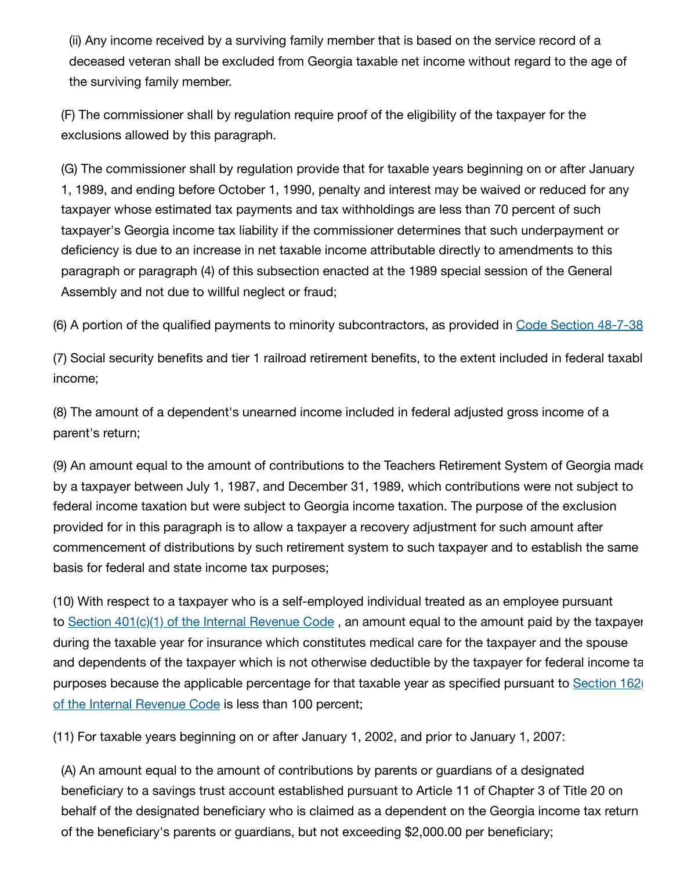(ii) Any income received by a surviving family member that is based on the service record of a deceased veteran shall be excluded from Georgia taxable net income without regard to the age of the surviving family member.

(F) The commissioner shall by regulation require proof of the eligibility of the taxpayer for the exclusions allowed by this paragraph.

(G) The commissioner shall by regulation provide that for taxable years beginning on or after January 1, 1989, and ending before October 1, 1990, penalty and interest may be waived or reduced for any taxpayer whose estimated tax payments and tax withholdings are less than 70 percent of such taxpayer's Georgia income tax liability if the commissioner determines that such underpayment or deficiency is due to an increase in net taxable income attributable directly to amendments to this paragraph or paragraph (4) of this subsection enacted at the 1989 special session of the General Assembly and not due to willful neglect or fraud;

(6) A portion of the qualified payments to minority subcontractors, as provided in Code Section [48-7-38](https://1.next.westlaw.com/Link/Document/FullText?findType=L&originatingContext=document&transitionType=DocumentItem&pubNum=1000468&refType=LQ&originatingDoc=Id27b92b03ea211eb83edd56410bb9a31&cite=GAST48-7-38)

(7) Social security benefits and tier 1 railroad retirement benefits, to the extent included in federal taxabl income;

(8) The amount of a dependent's unearned income included in federal adjusted gross income of a parent's return;

(9) An amount equal to the amount of contributions to the Teachers Retirement System of Georgia made by a taxpayer between July 1, 1987, and December 31, 1989, which contributions were not subject to federal income taxation but were subject to Georgia income taxation. The purpose of the exclusion provided for in this paragraph is to allow a taxpayer a recovery adjustment for such amount after commencement of distributions by such retirement system to such taxpayer and to establish the same basis for federal and state income tax purposes;

(10) With respect to a taxpayer who is a self-employed individual treated as an employee pursuant to Section  $401(c)(1)$  of the Internal [Revenue](https://1.next.westlaw.com/Link/Document/FullText?findType=Y&originatingContext=document&transitionType=DocumentItem&pubNum=1012823&refType=RB&originatingDoc=Id27bb9c03ea211eb83edd56410bb9a31&cite=26USCAS401) Code, an amount equal to the amount paid by the taxpayer during the taxable year for insurance which constitutes medical care for the taxpayer and the spouse and dependents of the taxpayer which is not otherwise deductible by the taxpayer for federal income ta [purposes because](https://1.next.westlaw.com/Link/Document/FullText?findType=Y&originatingContext=document&transitionType=DocumentItem&pubNum=1012823&refType=RB&originatingDoc=Id27bb9c13ea211eb83edd56410bb9a31&cite=26USCAS162) the applicable percentage for that taxable year as specified pursuant to Section 162 of the Internal Revenue Code is less than 100 percent;

(11) For taxable years beginning on or after January 1, 2002, and prior to January 1, 2007:

(A) An amount equal to the amount of contributions by parents or guardians of a designated beneficiary to a savings trust account established pursuant to Article 11 of Chapter 3 of Title 20 on behalf of the designated beneficiary who is claimed as a dependent on the Georgia income tax return of the beneficiary's parents or guardians, but not exceeding \$2,000.00 per beneficiary;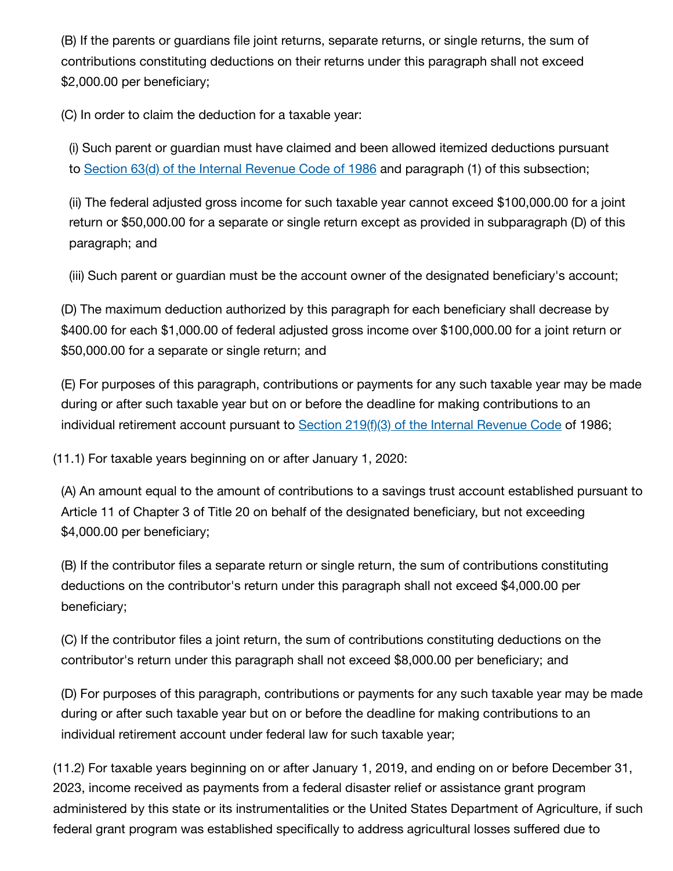(B) If the parents or guardians file joint returns, separate returns, or single returns, the sum of contributions constituting deductions on their returns under this paragraph shall not exceed \$2,000.00 per beneficiary;

(C) In order to claim the deduction for a taxable year:

(i) Such parent or guardian must have claimed and been allowed itemized deductions pursuant to Section 63(d) of the Internal [Revenue](https://1.next.westlaw.com/Link/Document/FullText?findType=Y&originatingContext=document&transitionType=DocumentItem&pubNum=1012823&refType=RB&originatingDoc=Id27c2ef03ea211eb83edd56410bb9a31&cite=26USCAS63) Code of 1986 and paragraph (1) of this subsection;

(ii) The federal adjusted gross income for such taxable year cannot exceed \$100,000.00 for a joint return or \$50,000.00 for a separate or single return except as provided in subparagraph (D) of this paragraph; and

(iii) Such parent or guardian must be the account owner of the designated beneficiary's account;

(D) The maximum deduction authorized by this paragraph for each beneficiary shall decrease by \$400.00 for each \$1,000.00 of federal adjusted gross income over \$100,000.00 for a joint return or \$50,000.00 for a separate or single return; and

(E) For purposes of this paragraph, contributions or payments for any such taxable year may be made during or after such taxable year but on or before the deadline for making contributions to an individual retirement account pursuant to Section 219(f)(3) of the Internal [Revenue](https://1.next.westlaw.com/Link/Document/FullText?findType=Y&originatingContext=document&transitionType=DocumentItem&pubNum=1012823&refType=RB&originatingDoc=Id27c7d103ea211eb83edd56410bb9a31&cite=26USCAS219) Code of 1986;

(11.1) For taxable years beginning on or after January 1, 2020:

(A) An amount equal to the amount of contributions to a savings trust account established pursuant to Article 11 of Chapter 3 of Title 20 on behalf of the designated beneficiary, but not exceeding \$4,000.00 per beneficiary;

(B) If the contributor files a separate return or single return, the sum of contributions constituting deductions on the contributor's return under this paragraph shall not exceed \$4,000.00 per beneficiary;

(C) If the contributor files a joint return, the sum of contributions constituting deductions on the contributor's return under this paragraph shall not exceed \$8,000.00 per beneficiary; and

(D) For purposes of this paragraph, contributions or payments for any such taxable year may be made during or after such taxable year but on or before the deadline for making contributions to an individual retirement account under federal law for such taxable year;

(11.2) For taxable years beginning on or after January 1, 2019, and ending on or before December 31, 2023, income received as payments from a federal disaster relief or assistance grant program administered by this state or its instrumentalities or the United States Department of Agriculture, if such federal grant program was established specifically to address agricultural losses suffered due to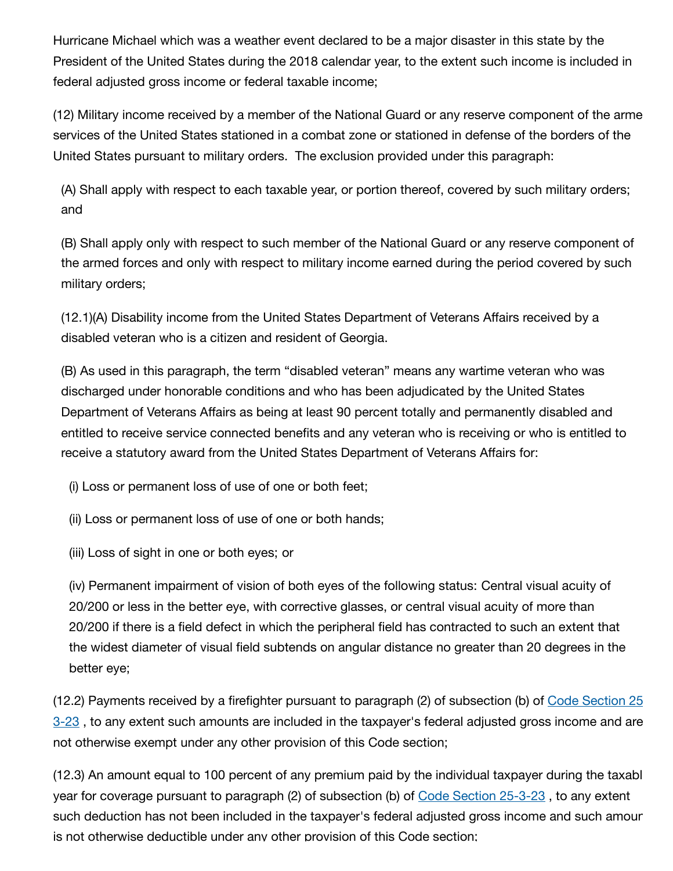Hurricane Michael which was a weather event declared to be a major disaster in this state by the President of the United States during the 2018 calendar year, to the extent such income is included in federal adjusted gross income or federal taxable income;

(12) Military income received by a member of the National Guard or any reserve component of the arme services of the United States stationed in a combat zone or stationed in defense of the borders of the United States pursuant to military orders. The exclusion provided under this paragraph:

(A) Shall apply with respect to each taxable year, or portion thereof, covered by such military orders; and

(B) Shall apply only with respect to such member of the National Guard or any reserve component of the armed forces and only with respect to military income earned during the period covered by such military orders;

(12.1)(A) Disability income from the United States Department of Veterans Affairs received by a disabled veteran who is a citizen and resident of Georgia.

(B) As used in this paragraph, the term "disabled veteran" means any wartime veteran who was discharged under honorable conditions and who has been adjudicated by the United States Department of Veterans Affairs as being at least 90 percent totally and permanently disabled and entitled to receive service connected benefits and any veteran who is receiving or who is entitled to receive a statutory award from the United States Department of Veterans Affairs for:

(i) Loss or permanent loss of use of one or both feet;

(ii) Loss or permanent loss of use of one or both hands;

(iii) Loss of sight in one or both eyes; or

(iv) Permanent impairment of vision of both eyes of the following status: Central visual acuity of 20/200 or less in the better eye, with corrective glasses, or central visual acuity of more than 20/200 if there is a field defect in which the peripheral field has contracted to such an extent that the widest diameter of visual field subtends on angular distance no greater than 20 degrees in the better eye;

(12.2) [Payments received](https://1.next.westlaw.com/Link/Document/FullText?findType=L&originatingContext=document&transitionType=DocumentItem&pubNum=1000468&refType=LQ&originatingDoc=Id27d8e803ea211eb83edd56410bb9a31&cite=GAST25-3-23) by a firefighter pursuant to paragraph (2) of subsection (b) of Code Section 25 3-23, to any extent such amounts are included in the taxpayer's federal adjusted gross income and are not otherwise exempt under any other provision of this Code section;

(12.3) An amount equal to 100 percent of any premium paid by the individual taxpayer during the taxabl year for coverage pursuant to paragraph (2) of subsection (b) of Code Section [25-3-23](https://1.next.westlaw.com/Link/Document/FullText?findType=L&originatingContext=document&transitionType=DocumentItem&pubNum=1000468&refType=LQ&originatingDoc=Id27d8e813ea211eb83edd56410bb9a31&cite=GAST25-3-23), to any extent such deduction has not been included in the taxpayer's federal adjusted gross income and such amour is not otherwise deductible under any other provision of this Code section;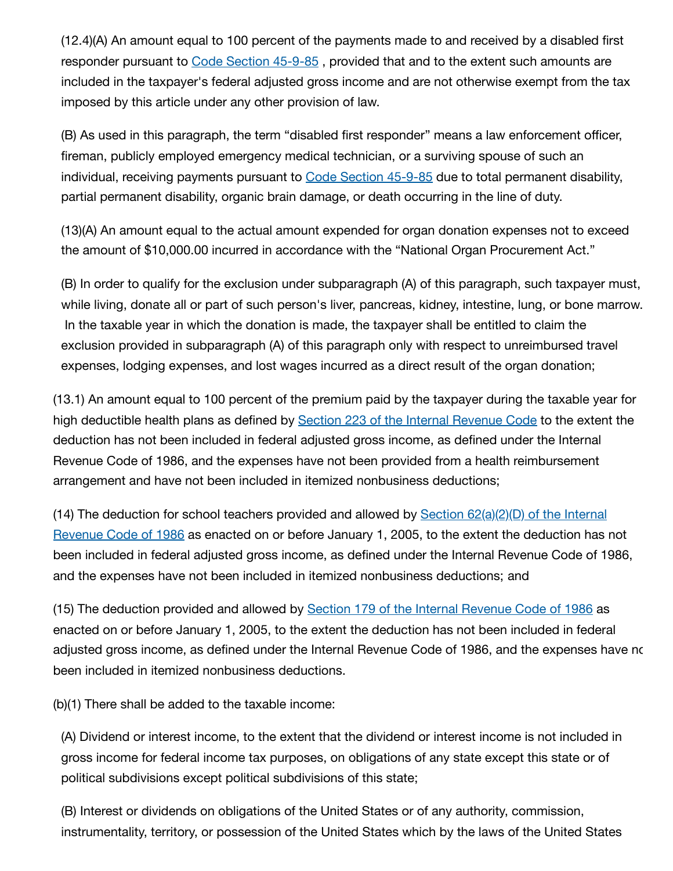(12.4)(A) An amount equal to 100 percent of the payments made to and received by a disabled first responder pursuant to Code Section [45-9-85](https://1.next.westlaw.com/Link/Document/FullText?findType=L&originatingContext=document&transitionType=DocumentItem&pubNum=1000468&refType=LQ&originatingDoc=Id27db5903ea211eb83edd56410bb9a31&cite=GAST45-9-85) , provided that and to the extent such amounts are included in the taxpayer's federal adjusted gross income and are not otherwise exempt from the tax imposed by this article under any other provision of law.

(B) As used in this paragraph, the term "disabled first responder" means a law enforcement officer, fireman, publicly employed emergency medical technician, or a surviving spouse of such an individual, receiving payments pursuant to Code Section [45-9-85](https://1.next.westlaw.com/Link/Document/FullText?findType=L&originatingContext=document&transitionType=DocumentItem&pubNum=1000468&refType=LQ&originatingDoc=Id27db5913ea211eb83edd56410bb9a31&cite=GAST45-9-85) due to total permanent disability, partial permanent disability, organic brain damage, or death occurring in the line of duty.

(13)(A) An amount equal to the actual amount expended for organ donation expenses not to exceed the amount of \$10,000.00 incurred in accordance with the "National Organ Procurement Act."

(B) In order to qualify for the exclusion under subparagraph (A) of this paragraph, such taxpayer must, while living, donate all or part of such person's liver, pancreas, kidney, intestine, lung, or bone marrow. In the taxable year in which the donation is made, the taxpayer shall be entitled to claim the exclusion provided in subparagraph (A) of this paragraph only with respect to unreimbursed travel expenses, lodging expenses, and lost wages incurred as a direct result of the organ donation;

(13.1) An amount equal to 100 percent of the premium paid by the taxpayer during the taxable year for high deductible health plans as defined by Section 223 of the Internal [Revenue](https://1.next.westlaw.com/Link/Document/FullText?findType=L&originatingContext=document&transitionType=DocumentItem&pubNum=1012823&refType=LQ&originatingDoc=Id27e03b03ea211eb83edd56410bb9a31&cite=26USCAS223) Code to the extent the deduction has not been included in federal adjusted gross income, as defined under the Internal Revenue Code of 1986, and the expenses have not been provided from a health reimbursement arrangement and have not been included in itemized nonbusiness deductions;

(14) The deduction for school [teachers provided](https://1.next.westlaw.com/Link/Document/FullText?findType=Y&originatingContext=document&transitionType=DocumentItem&pubNum=1012823&refType=RB&originatingDoc=Id27e03b13ea211eb83edd56410bb9a31&cite=26USCAS62) and allowed by Section 62(a)(2)(D) of the Internal Revenue Code of 1986 as enacted on or before January 1, 2005, to the extent the deduction has not been included in federal adjusted gross income, as defined under the Internal Revenue Code of 1986, and the expenses have not been included in itemized nonbusiness deductions; and

(15) The deduction provided and allowed by **Section 179 of the Internal [Revenue](https://1.next.westlaw.com/Link/Document/FullText?findType=L&originatingContext=document&transitionType=DocumentItem&pubNum=1012823&refType=LQ&originatingDoc=Id27e2ac03ea211eb83edd56410bb9a31&cite=26USCAS179) Code of 1986** as enacted on or before January 1, 2005, to the extent the deduction has not been included in federal adjusted gross income, as defined under the Internal Revenue Code of 1986, and the expenses have no been included in itemized nonbusiness deductions.

(b)(1) There shall be added to the taxable income:

(A) Dividend or interest income, to the extent that the dividend or interest income is not included in gross income for federal income tax purposes, on obligations of any state except this state or of political subdivisions except political subdivisions of this state;

(B) Interest or dividends on obligations of the United States or of any authority, commission, instrumentality, territory, or possession of the United States which by the laws of the United States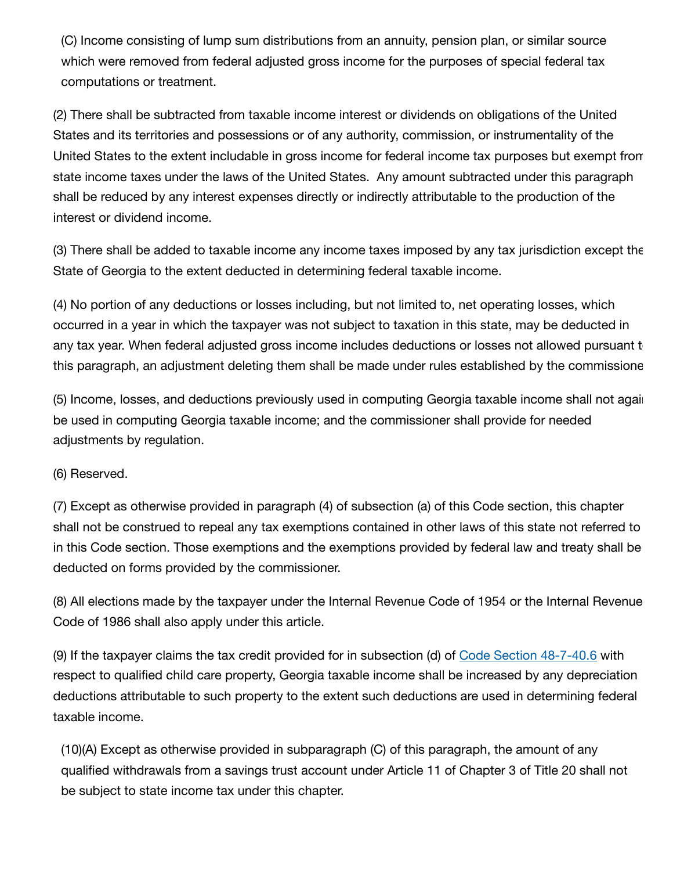(C) Income consisting of lump sum distributions from an annuity, pension plan, or similar source which were removed from federal adjusted gross income for the purposes of special federal tax computations or treatment.

(2) There shall be subtracted from taxable income interest or dividends on obligations of the United States and its territories and possessions or of any authority, commission, or instrumentality of the United States to the extent includable in gross income for federal income tax purposes but exempt from state income taxes under the laws of the United States. Any amount subtracted under this paragraph shall be reduced by any interest expenses directly or indirectly attributable to the production of the interest or dividend income.

(3) There shall be added to taxable income any income taxes imposed by any tax jurisdiction except the State of Georgia to the extent deducted in determining federal taxable income.

(4) No portion of any deductions or losses including, but not limited to, net operating losses, which occurred in a year in which the taxpayer was not subject to taxation in this state, may be deducted in any tax year. When federal adjusted gross income includes deductions or losses not allowed pursuant t this paragraph, an adjustment deleting them shall be made under rules established by the commissione

(5) Income, losses, and deductions previously used in computing Georgia taxable income shall not again be used in computing Georgia taxable income; and the commissioner shall provide for needed adjustments by regulation.

(6) Reserved.

(7) Except as otherwise provided in paragraph (4) of subsection (a) of this Code section, this chapter shall not be construed to repeal any tax exemptions contained in other laws of this state not referred to in this Code section. Those exemptions and the exemptions provided by federal law and treaty shall be deducted on forms provided by the commissioner.

(8) All elections made by the taxpayer under the Internal Revenue Code of 1954 or the Internal Revenue Code of 1986 shall also apply under this article.

(9) If the taxpayer claims the tax credit provided for in subsection (d) of Code Section [48-7-40.6](https://1.next.westlaw.com/Link/Document/FullText?findType=L&originatingContext=document&transitionType=DocumentItem&pubNum=1000468&refType=LQ&originatingDoc=Id27eee103ea211eb83edd56410bb9a31&cite=GAST48-7-40.6) with respect to qualified child care property, Georgia taxable income shall be increased by any depreciation deductions attributable to such property to the extent such deductions are used in determining federal taxable income.

(10)(A) Except as otherwise provided in subparagraph (C) of this paragraph, the amount of any qualified withdrawals from a savings trust account under Article 11 of Chapter 3 of Title 20 shall not be subject to state income tax under this chapter.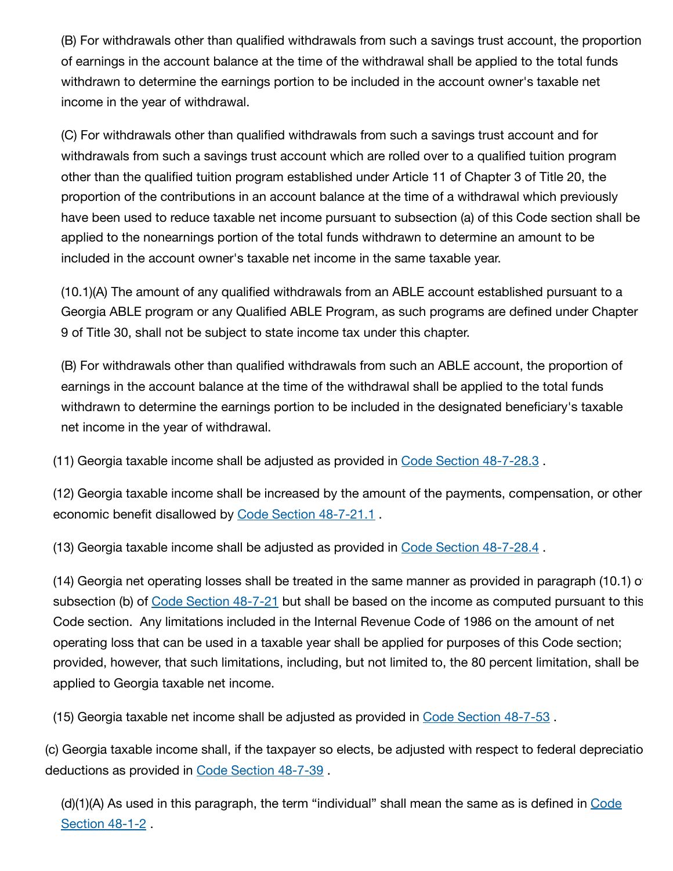(B) For withdrawals other than qualified withdrawals from such a savings trust account, the proportion of earnings in the account balance at the time of the withdrawal shall be applied to the total funds withdrawn to determine the earnings portion to be included in the account owner's taxable net income in the year of withdrawal.

(C) For withdrawals other than qualified withdrawals from such a savings trust account and for withdrawals from such a savings trust account which are rolled over to a qualified tuition program other than the qualified tuition program established under Article 11 of Chapter 3 of Title 20, the proportion of the contributions in an account balance at the time of a withdrawal which previously have been used to reduce taxable net income pursuant to subsection (a) of this Code section shall be applied to the nonearnings portion of the total funds withdrawn to determine an amount to be included in the account owner's taxable net income in the same taxable year.

(10.1)(A) The amount of any qualified withdrawals from an ABLE account established pursuant to a Georgia ABLE program or any Qualified ABLE Program, as such programs are defined under Chapter 9 of Title 30, shall not be subject to state income tax under this chapter.

(B) For withdrawals other than qualified withdrawals from such an ABLE account, the proportion of earnings in the account balance at the time of the withdrawal shall be applied to the total funds withdrawn to determine the earnings portion to be included in the designated beneficiary's taxable net income in the year of withdrawal.

(11) Georgia taxable income shall be adjusted as provided in Code Section [48-7-28.3](https://1.next.westlaw.com/Link/Document/FullText?findType=L&originatingContext=document&transitionType=DocumentItem&pubNum=1000468&refType=LQ&originatingDoc=Id27f63403ea211eb83edd56410bb9a31&cite=GAST48-7-28.3) .

(12) Georgia taxable income shall be increased by the amount of the payments, compensation, or other economic benefit disallowed by Code Section [48-7-21.1](https://1.next.westlaw.com/Link/Document/FullText?findType=L&originatingContext=document&transitionType=DocumentItem&pubNum=1000468&refType=LQ&originatingDoc=Id27f63413ea211eb83edd56410bb9a31&cite=GAST48-7-21.1) .

(13) Georgia taxable income shall be adjusted as provided in Code Section [48-7-28.4](https://1.next.westlaw.com/Link/Document/FullText?findType=L&originatingContext=document&transitionType=DocumentItem&pubNum=1000468&refType=LQ&originatingDoc=Id27f8a503ea211eb83edd56410bb9a31&cite=GAST48-7-28.4) .

(14) Georgia net operating losses shall be treated in the same manner as provided in paragraph (10.1) of subsection (b) of Code Section [48-7-21](https://1.next.westlaw.com/Link/Document/FullText?findType=L&originatingContext=document&transitionType=DocumentItem&pubNum=1000468&refType=LQ&originatingDoc=Id27fb1603ea211eb83edd56410bb9a31&cite=GAST48-7-21) but shall be based on the income as computed pursuant to this Code section. Any limitations included in the Internal Revenue Code of 1986 on the amount of net operating loss that can be used in a taxable year shall be applied for purposes of this Code section; provided, however, that such limitations, including, but not limited to, the 80 percent limitation, shall be applied to Georgia taxable net income.

(15) Georgia taxable net income shall be adjusted as provided in Code Section [48-7-53](https://1.next.westlaw.com/Link/Document/FullText?findType=L&originatingContext=document&transitionType=DocumentItem&pubNum=1000468&refType=LQ&originatingDoc=Id27fb1613ea211eb83edd56410bb9a31&cite=GAST48-7-53) .

(c) Georgia taxable income shall, if the taxpayer so elects, be adjusted with respect to federal depreciatio deductions as provided in Code Section [48-7-39](https://1.next.westlaw.com/Link/Document/FullText?findType=L&originatingContext=document&transitionType=DocumentItem&pubNum=1000468&refType=LQ&originatingDoc=Id27fd8703ea211eb83edd56410bb9a31&cite=GAST48-7-39) .

(d)(1)(A) As used in [this paragraph,](https://1.next.westlaw.com/Link/Document/FullText?findType=L&originatingContext=document&transitionType=DocumentItem&pubNum=1000468&refType=LQ&originatingDoc=Id27fd8713ea211eb83edd56410bb9a31&cite=GAST48-1-2) the term "individual" shall mean the same as is defined in Code Section 48-1-2 .